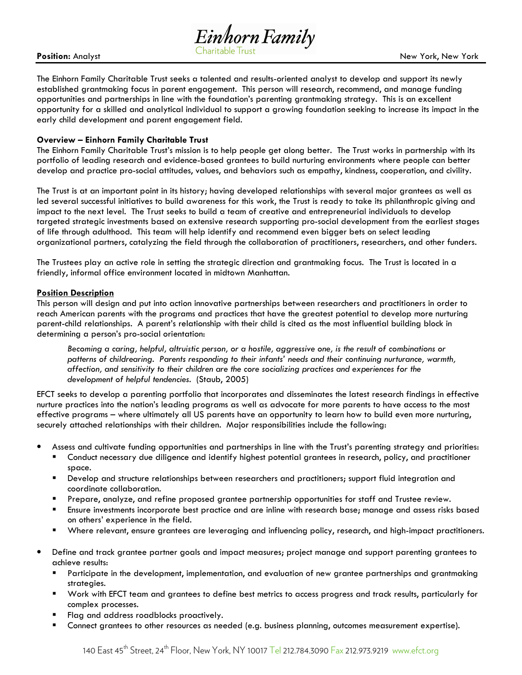

The Einhorn Family Charitable Trust seeks a talented and results-oriented analyst to develop and support its newly established grantmaking focus in parent engagement. This person will research, recommend, and manage funding opportunities and partnerships in line with the foundation's parenting grantmaking strategy. This is an excellent opportunity for a skilled and analytical individual to support a growing foundation seeking to increase its impact in the early child development and parent engagement field.

### Overview – Einhorn Family Charitable Trust

The Einhorn Family Charitable Trust's mission is to help people get along better. The Trust works in partnership with its portfolio of leading research and evidence-based grantees to build nurturing environments where people can better develop and practice pro-social attitudes, values, and behaviors such as empathy, kindness, cooperation, and civility.

The Trust is at an important point in its history; having developed relationships with several major grantees as well as led several successful initiatives to build awareness for this work, the Trust is ready to take its philanthropic giving and impact to the next level. The Trust seeks to build a team of creative and entrepreneurial individuals to develop targeted strategic investments based on extensive research supporting pro-social development from the earliest stages of life through adulthood. This team will help identify and recommend even bigger bets on select leading organizational partners, catalyzing the field through the collaboration of practitioners, researchers, and other funders.

The Trustees play an active role in setting the strategic direction and grantmaking focus. The Trust is located in a friendly, informal office environment located in midtown Manhattan.

#### Position Description

This person will design and put into action innovative partnerships between researchers and practitioners in order to reach American parents with the programs and practices that have the greatest potential to develop more nurturing parent-child relationships. A parent's relationship with their child is cited as the most influential building block in determining a person's pro-social orientation:

Becoming a caring, helpful, altruistic person, or a hostile, aggressive one, is the result of combinations or patterns of childrearing. Parents responding to their infants' needs and their continuing nurturance, warmth, affection, and sensitivity to their children are the core socializing practices and experiences for the development of helpful tendencies. (Staub, 2005)

EFCT seeks to develop a parenting portfolio that incorporates and disseminates the latest research findings in effective nurture practices into the nation's leading programs as well as advocate for more parents to have access to the most effective programs – where ultimately all US parents have an opportunity to learn how to build even more nurturing, securely attached relationships with their children. Major responsibilities include the following:

- Assess and cultivate funding opportunities and partnerships in line with the Trust's parenting strategy and priorities:
	- Conduct necessary due diligence and identify highest potential grantees in research, policy, and practitioner space.
	- Develop and structure relationships between researchers and practitioners; support fluid integration and coordinate collaboration.
	- Prepare, analyze, and refine proposed grantee partnership opportunities for staff and Trustee review.
	- Ensure investments incorporate best practice and are inline with research base; manage and assess risks based on others' experience in the field.
	- Where relevant, ensure grantees are leveraging and influencing policy, research, and high-impact practitioners.
- Define and track grantee partner goals and impact measures; project manage and support parenting grantees to achieve results:
	- Participate in the development, implementation, and evaluation of new grantee partnerships and grantmaking strategies.
	- Work with EFCT team and grantees to define best metrics to access progress and track results, particularly for complex processes.
	- Flag and address roadblocks proactively.
	- **Connect grantees to other resources as needed (e.g. business planning, outcomes measurement expertise).**